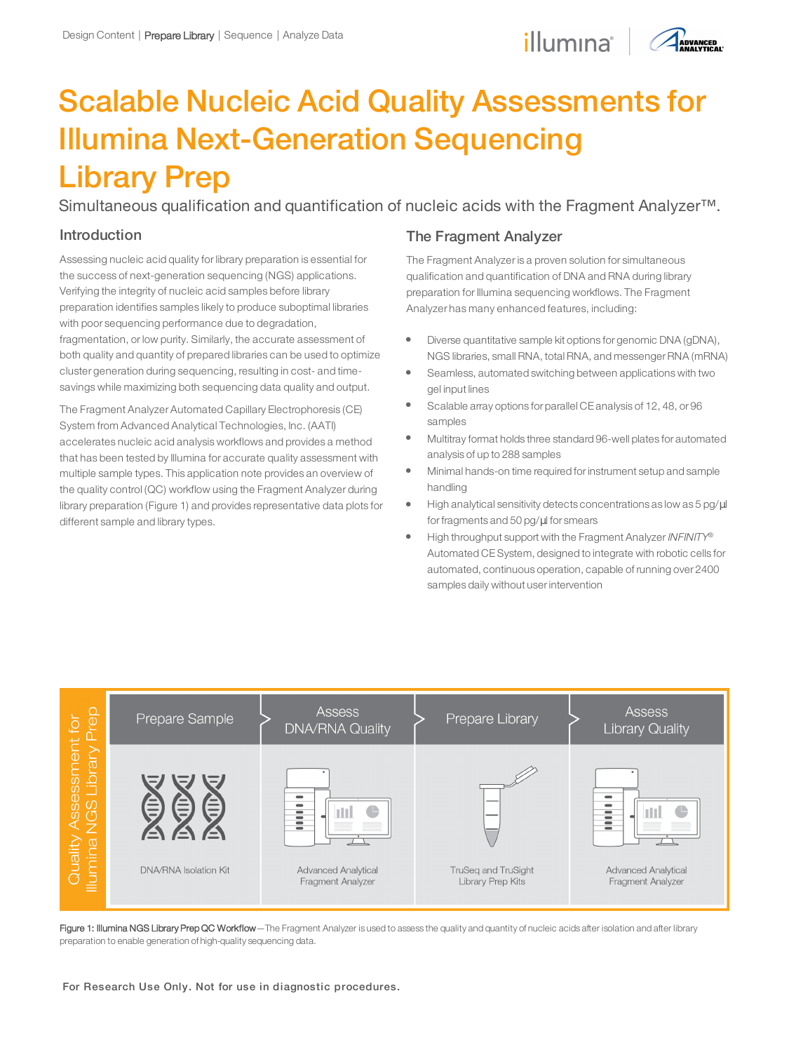## illumina<sup>®</sup> AADVANCED



# Scalable Nucleic Acid Quality Assessments for Illumina Next-Generation Sequencing Library Prep

Simultaneous qualification and quantification of nucleic acids with the Fragment Analyzer<sup>™</sup>.

## Introduction

Assessing nucleic acid quality for library preparation is essential for the success of next-generation sequencing (NGS) applications. Verifying the integrity of nucleic acid samples before library preparation identifies samples likely to produce suboptimal libraries with poor sequencing performance due to degradation, fragmentation, or low purity. Similarly, the accurate assessment of both quality and quantity of prepared libraries can be used to optimize cluster generation during sequencing, resulting in cost- and timesavings while maximizing both sequencing data quality and output.

The Fragment Analyzer Automated Capillary Electrophoresis (CE) System from Advanced Analytical Technologies, Inc. (AATI) accelerates nucleic acid analysis workflows and provides a method that has been tested by Illumina for accurate quality assessment with multiple sample types. This application note provides an overview of the quality control (QC) workflow using the Fragment Analyzer during library preparation (Figure 1) and provides representative data plots for different sample and library types.

## The Fragment Analyzer

The Fragment Analyzer is a proven solution for simultaneous qualification and quantification of DNA and RNA during library preparation for Illumina sequencing workflows. The Fragment Analyzer has many enhanced features, including:

- Diverse quantitative sample kit options for genomic DNA (gDNA), NGS libraries, small RNA, total RNA, and messenger RNA (mRNA)
- Seamless, automated switching between applications with two gel input lines
- Scalable array options for parallel CE analysis of 12, 48, or 96 samples
- l Multitray format holds three standard 96-well plates for automated analysis of up to 288 samples
- l Minimal hands-on time required forinstrument setup and sample handling
- High analytical sensitivity detects concentrations as low as 5 pg/ $\mu$ l forfragments and 50 pg/µl for smears
- High throughput support with the Fragment Analyzer INFINITY® Automated CESystem, designed to integrate with robotic cells for automated, continuous operation, capable of running over 2400 samples daily without userintervention



Figure 1: Illumina NGS Library Prep QC Workflow-The Fragment Analyzer is used to assess the quality and quantity of nucleic acids after isolation and after library preparation to enable generation of high-quality sequencing data.

For Research Use Only. Not for use in diagnostic procedures.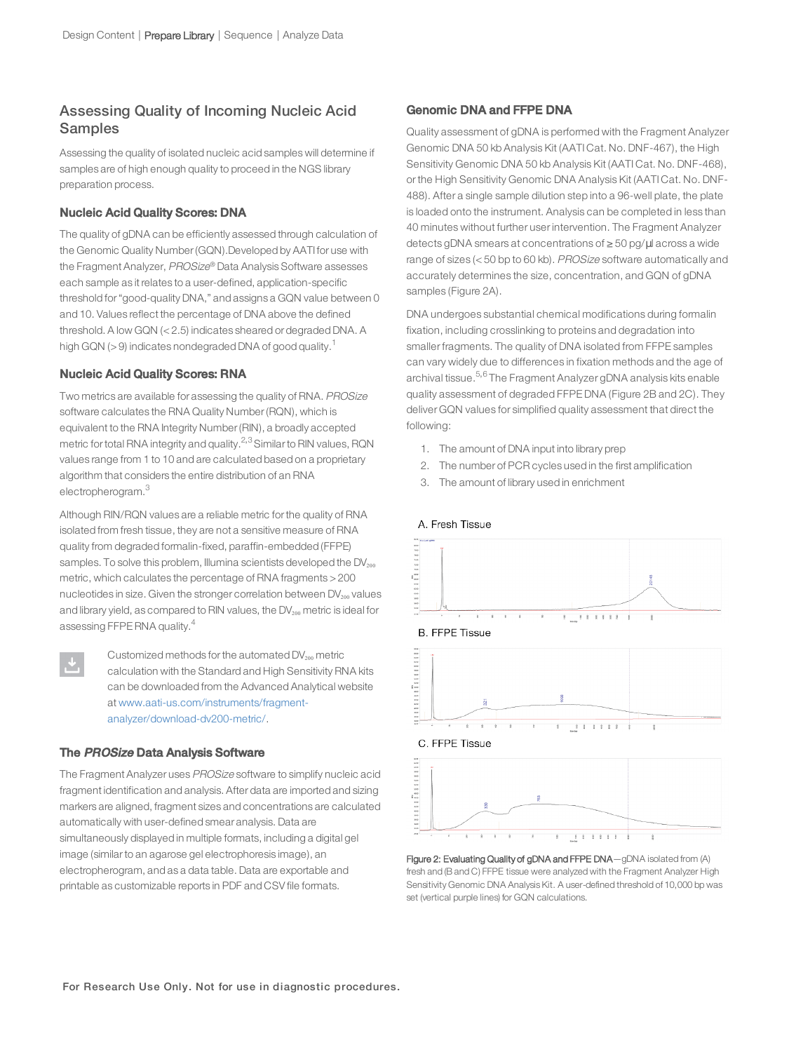## Assessing Quality of Incoming Nucleic Acid Samples

Assessing the quality of isolated nucleic acid samples will determine if samples are of high enough quality to proceed in the NGS library preparation process.

#### Nucleic Acid Quality Scores: DNA

The quality of gDNA can be efficiently assessed through calculation of the Genomic Quality Number(GQN).Developed by AATI for use with the Fragment Analyzer, PROSize ® Data Analysis Software assesses each sample as it relates to a user-defined, application-specific threshold for"good-quality DNA," and assigns a GQN value between 0 and 10. Values reflect the percentage of DNA above the defined threshold. A low GQN (<2.5) indicates sheared or degraded DNA. A high GQN ( $>$ 9) indicates nondegraded DNA of good quality.<sup>[1](#page-3-0)</sup>

#### Nucleic Acid Quality Scores: RNA

Two metrics are available for assessing the quality of RNA. PROSize software calculates the RNA Quality Number(RQN), which is equivalent to the RNA Integrity Number(RIN), a broadly accepted metric for total RNA integrity and quality. $2,3$  $2,3$  $2,3$  Similar to RIN values, RQN values range from 1 to 10 and are calculated based on a proprietary algorithm that considers the entire distribution of an RNA electropherogram.<sup>[3](#page-3-2)</sup>

Although RIN/RQN values are a reliable metric forthe quality of RNA isolated from fresh tissue, they are not a sensitive measure of RNA quality from degraded formalin-fixed, paraffin-embedded (FFPE) samples. To solve this problem, Illumina scientists developed the  $DV_{200}$ metric, which calculates the percentage of RNA fragments >200 nucleotides in size. Given the stronger correlation between  $DV_{200}$  values and library yield, as compared to RIN values, the  $DV_{200}$  metric is ideal for assessing FFPE RNA quality.<sup>[4](#page-3-3)</sup>

Customized methods for the automated  $DV_{200}$  metric calculation with the Standard and High Sensitivity RNA kits can be downloaded from the Advanced Analytical website at www.aati-us.com/instruments/fragmentanalyzer/download-dv200-metric/.

#### The PROSize Data Analysis Software

The Fragment Analyzer uses PROSize software to simplify nucleic acid fragment identification and analysis. After data are imported and sizing markers are aligned, fragment sizes and concentrations are calculated automatically with user-defined smear analysis. Data are simultaneously displayed in multiple formats, including a digital gel image (similarto an agarose gel electrophoresis image), an electropherogram, and as a data table. Data are exportable and printable as customizable reports in PDF and CSV file formats.

#### Genomic DNA and FFPE DNA

Quality assessment of gDNA is performed with the Fragment Analyzer Genomic DNA 50 kb Analysis Kit (AATI Cat. No. DNF-467), the High Sensitivity Genomic DNA 50 kb Analysis Kit (AATI Cat. No. DNF-468), or the High Sensitivity Genomic DNA Analysis Kit (AATI Cat. No. DNF-488). After a single sample dilution step into a 96-well plate, the plate is loaded onto the instrument. Analysis can be completed in less than 40 minutes without further user intervention. The Fragment Analyzer detects gDNA smears at concentrations of ≥ 50 pg/µl across a wide range of sizes (< 50 bp to 60 kb). PROSize software automatically and accurately determines the size, concentration, and GQN of gDNA samples (Figure 2A).

DNA undergoes substantial chemical modifications during formalin fixation, including crosslinking to proteins and degradation into smaller fragments. The quality of DNA isolated from FFPE samples can vary widely due to differences in fixation methods and the age of archival tissue.[5](#page-3-4),[6](#page-3-5) The Fragment Analyzer gDNA analysis kits enable quality assessment of degraded FFPE DNA (Figure 2B and 2C). They deliver GQN values for simplified quality assessment that direct the following:

- 1. The amount of DNA input into library prep
- 2. The number of PCR cycles used in the first amplification
- 3. The amount of library used in enrichment



#### Figure 2: Evaluating Quality of gDNA and FFPE DNA-gDNA isolated from (A) fresh and (B and C) FFPE tissue were analyzed with the Fragment Analyzer High Sensitivity Genomic DNA Analysis Kit. A user-defined threshold of 10,000 bp was set (vertical purple lines) for GQN calculations.

## A. Fresh Tissue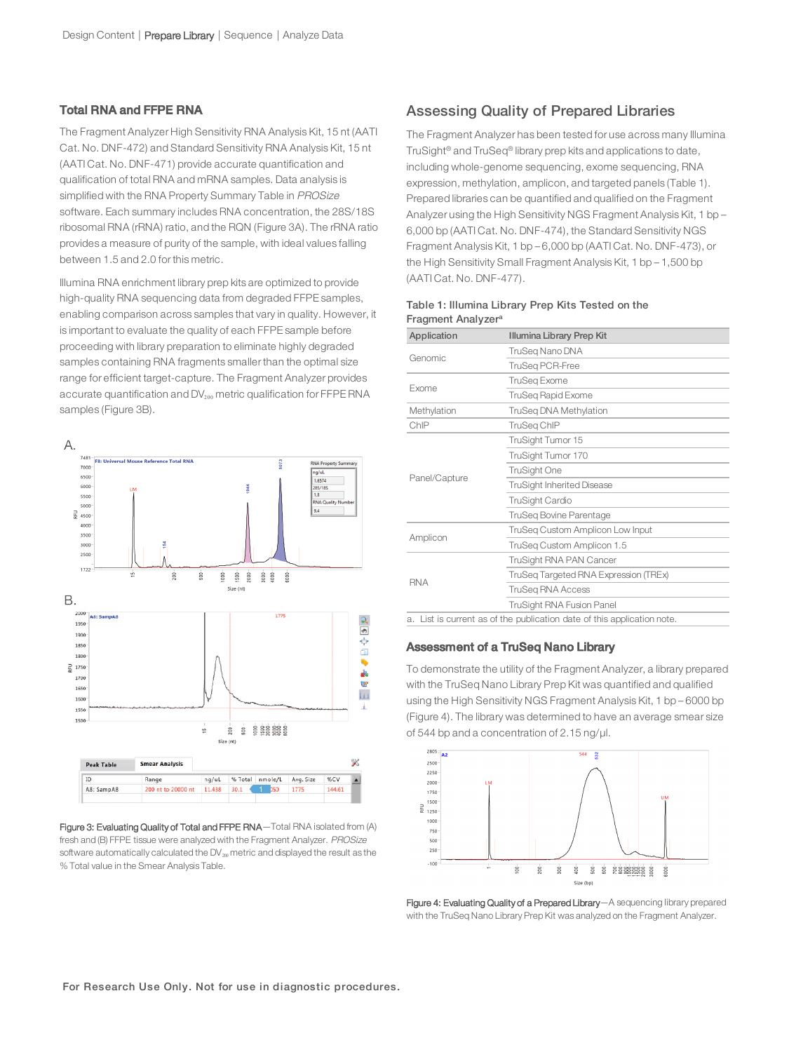## Total RNA and FFPE RNA

The Fragment Analyzer High Sensitivity RNA Analysis Kit, 15 nt (AATI Cat. No. DNF-472) and Standard Sensitivity RNA Analysis Kit, 15 nt (AATI Cat. No. DNF-471) provide accurate quantification and qualification of total RNA and mRNA samples. Data analysis is simplified with the RNA Property Summary Table in PROSize software. Each summary includes RNA concentration, the 28S/18S ribosomal RNA (rRNA) ratio, and the RQN (Figure 3A). The rRNA ratio provides a measure of purity of the sample, with ideal values falling between 1.5 and 2.0 for this metric.

Illumina RNA enrichment library prep kits are optimized to provide high-quality RNA sequencing data from degraded FFPE samples, enabling comparison across samples that vary in quality. However, it is important to evaluate the quality of each FFPE sample before proceeding with library preparation to eliminate highly degraded samples containing RNA fragments smaller than the optimal size range for efficient target-capture. The Fragment Analyzer provides accurate quantification and  $DV_{200}$  metric qualification for FFPE RNA samples (Figure 3B).



Figure 3: Evaluating Quality of Total and FFPE RNA—Total RNA isolated from (A) fresh and (B) FFPE tissue were analyzed with the Fragment Analyzer. PROSize software automatically calculated the  $DV_{200}$  metric and displayed the result as the % Total value in the Smear Analysis Table.

## Assessing Quality of Prepared Libraries

The Fragment Analyzer has been tested for use across many Illumina TruSight® and TruSeq® library prep kits and applications to date, including whole-genome sequencing, exome sequencing, RNA expression, methylation, amplicon, and targeted panels (Table 1). Prepared libraries can be quantified and qualified on the Fragment Analyzer using the High Sensitivity NGS Fragment Analysis Kit, 1 bp – 6,000 bp (AATI Cat. No. DNF-474), the Standard Sensitivity NGS Fragment Analysis Kit, 1 bp – 6,000 bp (AATI Cat. No. DNF-473), or the High Sensitivity Small Fragment Analysis Kit, 1 bp – 1,500 bp (AATI Cat. No. DNF-477).

| Application   | Illumina Library Prep Kit                                            |
|---------------|----------------------------------------------------------------------|
| Genomic       | TruSeg Nano DNA                                                      |
|               | <b>TruSeg PCR-Free</b>                                               |
| Exome         | <b>TruSeg Exome</b>                                                  |
|               | <b>TruSeg Rapid Exome</b>                                            |
| Methylation   | TruSeq DNA Methylation                                               |
| ChIP          | TruSeg ChIP                                                          |
| Panel/Capture | TruSight Tumor 15                                                    |
|               | TruSight Tumor 170                                                   |
|               | <b>TruSight One</b>                                                  |
|               | <b>TruSight Inherited Disease</b>                                    |
|               | TruSight Cardio                                                      |
|               | <b>TruSeg Bovine Parentage</b>                                       |
| Amplicon      | TruSeq Custom Amplicon Low Input                                     |
|               | TruSeq Custom Amplicon 1.5                                           |
| <b>RNA</b>    | TruSight RNA PAN Cancer                                              |
|               | TruSeg Targeted RNA Expression (TREx)                                |
|               | <b>TruSeg RNA Access</b>                                             |
|               | TruSight RNA Fusion Panel                                            |
| a.            | List is current as of the publication date of this application note. |

#### Table 1: Illumina Library Prep Kits Tested on the Fragment Analyzer<sup>a</sup>

### Assessment of a TruSeq Nano Library

To demonstrate the utility of the Fragment Analyzer, a library prepared with the TruSeq Nano Library Prep Kit was quantified and qualified using the High Sensitivity NGS Fragment Analysis Kit, 1 bp – 6000 bp (Figure 4). The library was determined to have an average smear size of 544 bp and a concentration of 2.15 ng/µl.



Figure 4: Evaluating Quality of a Prepared Library-A sequencing library prepared with the TruSeq Nano Library Prep Kit was analyzed on the Fragment Analyzer.

For Research Use Only. Not for use in diagnostic procedures.